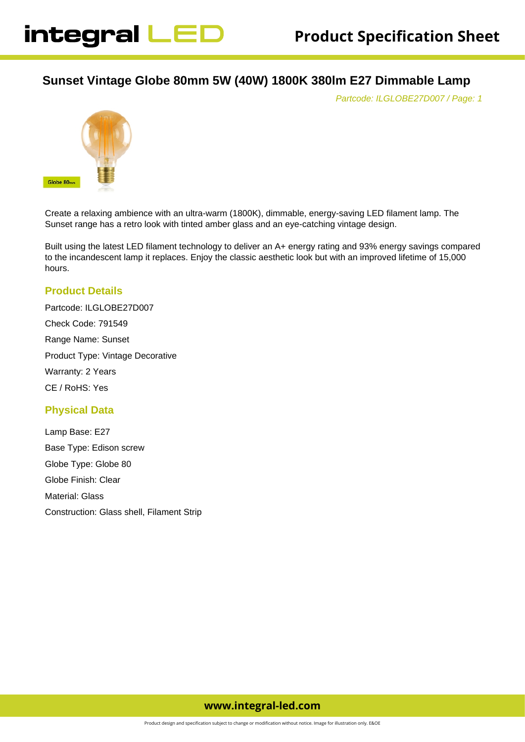# **Sunset Vintage Globe 80mm 5W (40W) 1800K 380lm E27 Dimmable Lamp**

Partcode: ILGLOBE27D007 / Page: 1



Create a relaxing ambience with an ultra-warm (1800K), dimmable, energy-saving LED filament lamp. The Sunset range has a retro look with tinted amber glass and an eye-catching vintage design.

Built using the latest LED filament technology to deliver an A+ energy rating and 93% energy savings compared to the incandescent lamp it replaces. Enjoy the classic aesthetic look but with an improved lifetime of 15,000 hours.

### **Product Details**

Partcode: ILGLOBE27D007 Check Code: 791549 Range Name: Sunset Product Type: Vintage Decorative Warranty: 2 Years CE / RoHS: Yes

### **Physical Data**

Lamp Base: E27 Base Type: Edison screw Globe Type: Globe 80 Globe Finish: Clear Material: Glass Construction: Glass shell, Filament Strip

## **www.integral-led.com**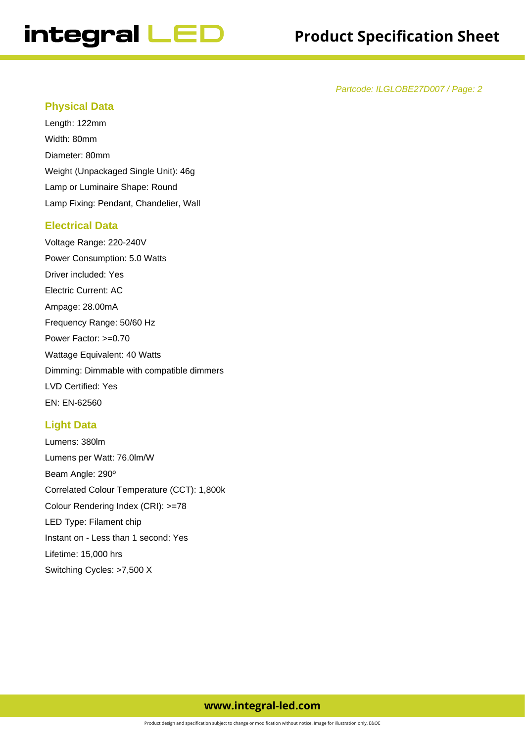Partcode: ILGLOBE27D007 / Page: 2

### **Physical Data**

Length: 122mm Width: 80mm Diameter: 80mm Weight (Unpackaged Single Unit): 46g Lamp or Luminaire Shape: Round Lamp Fixing: Pendant, Chandelier, Wall

### **Electrical Data**

Voltage Range: 220-240V Power Consumption: 5.0 Watts Driver included: Yes Electric Current: AC Ampage: 28.00mA Frequency Range: 50/60 Hz Power Factor: >=0.70 Wattage Equivalent: 40 Watts Dimming: Dimmable with compatible dimmers LVD Certified: Yes EN: EN-62560

### **Light Data**

Lumens: 380lm Lumens per Watt: 76.0lm/W Beam Angle: 290º Correlated Colour Temperature (CCT): 1,800k Colour Rendering Index (CRI): >=78 LED Type: Filament chip Instant on - Less than 1 second: Yes Lifetime: 15,000 hrs Switching Cycles: >7,500 X

### **www.integral-led.com**